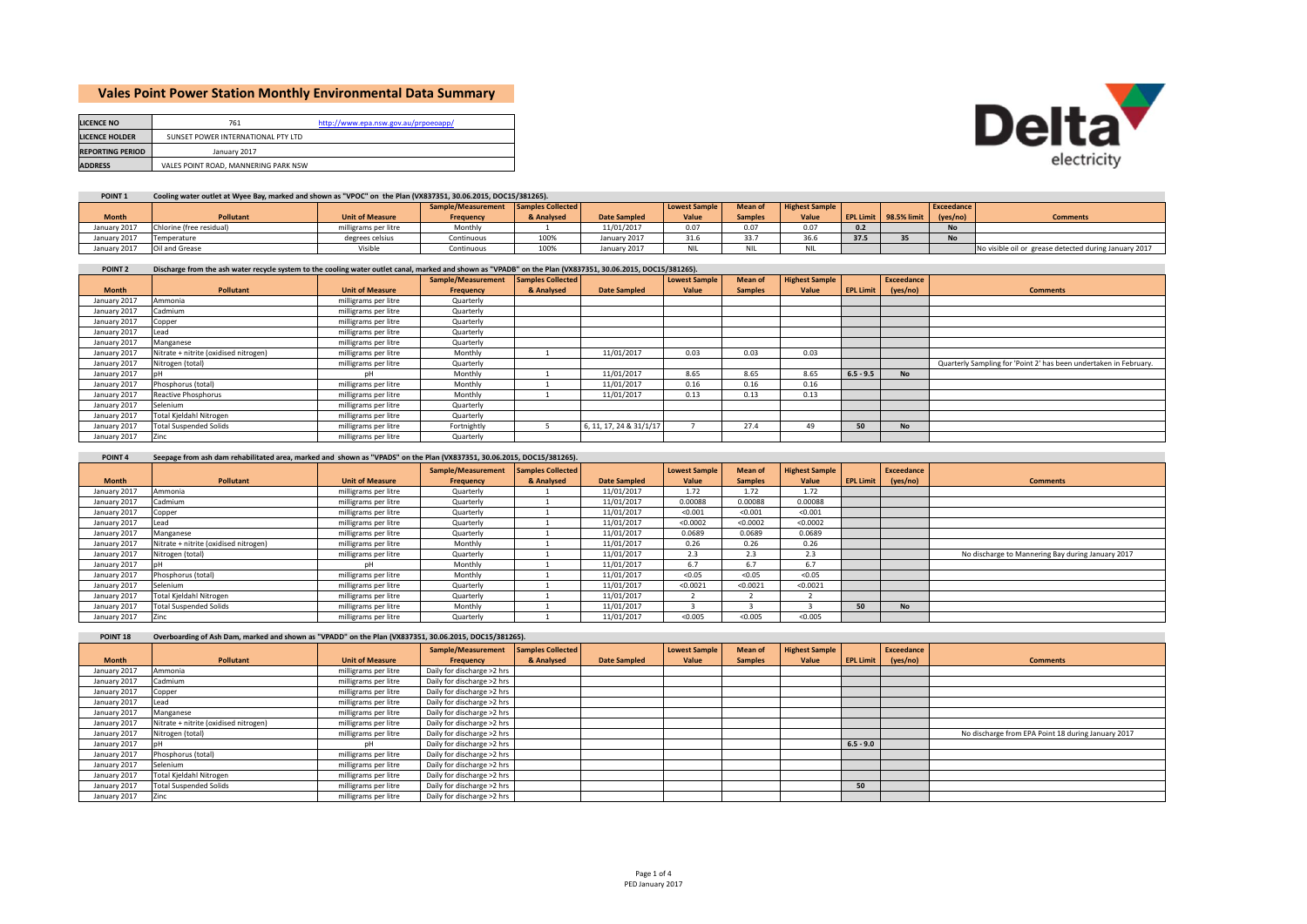# **Vales Point Power Station Monthly Environmental Data Summary**

| <b>LICENCE NO</b>       | 761                                  | http://www.epa.nsw.gov.au/prpoeoapp/ |
|-------------------------|--------------------------------------|--------------------------------------|
| <b>LICENCE HOLDER</b>   | SUNSET POWER INTERNATIONAL PTY LTD   |                                      |
| <b>REPORTING PERIOD</b> | January 2017                         |                                      |
| <b>ADDRESS</b>          | VALES POINT ROAD, MANNERING PARK NSW |                                      |



| POINT <sub>1</sub> | Cooling water outlet at Wyee Bay, marked and shown as "VPOC" on the Plan (VX837351, 30.06.2015, DOC15/381265). |                        |                                      |            |                     |               |                |                       |                  |             |            |                                                       |
|--------------------|----------------------------------------------------------------------------------------------------------------|------------------------|--------------------------------------|------------|---------------------|---------------|----------------|-----------------------|------------------|-------------|------------|-------------------------------------------------------|
|                    |                                                                                                                |                        | Sample/Measurement Samples Collected |            |                     | Lowest Sample | Mean of        | <b>Highest Sample</b> |                  |             | Exceedance |                                                       |
| <b>Month</b>       | <b>Pollutant</b>                                                                                               | <b>Unit of Measure</b> | Frequency                            | & Analysed | <b>Date Sampled</b> | Value         | <b>Samples</b> | Value                 | <b>EPL Limit</b> | 98.5% limit | (yes/no)   | <b>Comments</b>                                       |
| January 2017       | Chlorine (free residual)                                                                                       | milligrams per litre   | Monthly                              |            | 11/01/2017          | 0.07          | 0.07           | 0.07                  |                  |             | <b>No</b>  |                                                       |
| January 2017       | Temperature                                                                                                    | degrees celsius        | Continuous                           | 100%       | January 2017        | 31.6          | 33.7           | 36.6                  | 37.5             |             | <b>No</b>  |                                                       |
| January 2017       | Oil and Grease                                                                                                 | Visible                | Continuous                           | 100%       | January 2017        |               |                | 4 I L                 |                  |             |            | No visible oil or grease detected during January 2017 |

### POINT 2 Discharge from the ash water recycle system to the cooling water outlet canal, marked and shown as "VPADB" on the Plan (VX837351, 30.06.2015, DOC15/381265).

|              |                                       |                        | Sample/Measurement | Samples Collected |                         | <b>Lowest Sample</b> | Mean of        | <b>Highest Sample</b> |                  | Exceedance |                                                                   |
|--------------|---------------------------------------|------------------------|--------------------|-------------------|-------------------------|----------------------|----------------|-----------------------|------------------|------------|-------------------------------------------------------------------|
| <b>Month</b> | Pollutant                             | <b>Unit of Measure</b> | Frequency          | & Analysed        | <b>Date Sampled</b>     | Value                | <b>Samples</b> | Value                 | <b>EPL Limit</b> | (yes/no)   | <b>Comments</b>                                                   |
| January 2017 | Ammonia                               | milligrams per litre   | Quarterly          |                   |                         |                      |                |                       |                  |            |                                                                   |
| January 2017 | Cadmium                               | milligrams per litre   | Quarterly          |                   |                         |                      |                |                       |                  |            |                                                                   |
| January 2017 | Copper                                | milligrams per litre   | Quarterly          |                   |                         |                      |                |                       |                  |            |                                                                   |
| January 2017 | ead                                   | milligrams per litre   | Quarterly          |                   |                         |                      |                |                       |                  |            |                                                                   |
| January 2017 | Manganese                             | milligrams per litre   | Quarterly          |                   |                         |                      |                |                       |                  |            |                                                                   |
| January 2017 | Nitrate + nitrite (oxidised nitrogen) | milligrams per litre   | Monthly            |                   | 11/01/2017              | 0.03                 | 0.03           | 0.03                  |                  |            |                                                                   |
| January 2017 | Nitrogen (total)                      | milligrams per litre   | Quarterly          |                   |                         |                      |                |                       |                  |            | Quarterly Sampling for 'Point 2' has been undertaken in February. |
| January 2017 |                                       | pН                     | Monthly            |                   | 11/01/2017              | 8.65                 | 8.65           | 8.65                  | $6.5 - 9.5$      | <b>No</b>  |                                                                   |
| January 2017 | Phosphorus (total)                    | milligrams per litre   | Monthly            |                   | 11/01/2017              | 0.16                 | 0.16           | 0.16                  |                  |            |                                                                   |
| January 2017 | Reactive Phosphorus                   | milligrams per litre   | Monthly            |                   | 11/01/2017              | 0.13                 | 0.13           | 0.13                  |                  |            |                                                                   |
| January 2017 | Selenium                              | milligrams per litre   | Quarterly          |                   |                         |                      |                |                       |                  |            |                                                                   |
| January 2017 | Total Kjeldahl Nitrogen               | milligrams per litre   | Quarterly          |                   |                         |                      |                |                       |                  |            |                                                                   |
| January 2017 | <b>Total Suspended Solids</b>         | milligrams per litre   | Fortnightly        |                   | 6, 11, 17, 24 & 31/1/17 |                      | 27.4           | 49                    | 50               | <b>No</b>  |                                                                   |
| January 2017 | Zinc                                  | milligrams per litre   | Quarterly          |                   |                         |                      |                |                       |                  |            |                                                                   |

### POINT 4 Seepage from ash dam rehabilitated area, marked and shown as "VPADS" on the Plan (VX837351, 30.06.2015, DOC15/381265).

|              |                                       |                        | Sample/Measurement | Samples Collected L |                     | <b>Lowest Sample</b> | Mean of        | <b>Highest Sample</b> |                  | Exceedance |                                                   |
|--------------|---------------------------------------|------------------------|--------------------|---------------------|---------------------|----------------------|----------------|-----------------------|------------------|------------|---------------------------------------------------|
| <b>Month</b> | Pollutant                             | <b>Unit of Measure</b> | Frequency          | & Analysed          | <b>Date Sampled</b> | Value                | <b>Samples</b> | Value                 | <b>EPL Limit</b> | (yes/no)   | <b>Comments</b>                                   |
| January 2017 | Ammonia                               | milligrams per litre   | Quarterly          |                     | 11/01/2017          | 1.72                 | 1.72           | 1.72                  |                  |            |                                                   |
| January 2017 | Cadmium                               | milligrams per litre   | Quarterly          |                     | 11/01/2017          | 0.00088              | 0.00088        | 0.00088               |                  |            |                                                   |
| January 2017 | Copper                                | milligrams per litre   | Quarterly          |                     | 11/01/2017          | < 0.001              | < 0.001        | < 0.001               |                  |            |                                                   |
| January 2017 | Lead                                  | milligrams per litre   | Quarterly          |                     | 11/01/2017          | < 0.0002             | < 0.0002       | < 0.0002              |                  |            |                                                   |
| January 2017 | Manganese                             | milligrams per litre   | Quarterly          |                     | 11/01/2017          | 0.0689               | 0.0689         | 0.0689                |                  |            |                                                   |
| January 2017 | Nitrate + nitrite (oxidised nitrogen) | milligrams per litre   | Monthly            |                     | 11/01/2017          | 0.26                 | 0.26           | 0.26                  |                  |            |                                                   |
| January 2017 | Nitrogen (total)                      | milligrams per litre   | Quarterly          |                     | 11/01/2017          | 2.3                  | 2.3            | 2.3                   |                  |            | No discharge to Mannering Bay during January 2017 |
| January 2017 |                                       | nН                     | Monthly            |                     | 11/01/2017          | 6.7                  | 6.7            | 6.7                   |                  |            |                                                   |
| January 2017 | Phosphorus (total)                    | milligrams per litre   | Monthly            |                     | 11/01/2017          | < 0.05               | < 0.05         | < 0.05                |                  |            |                                                   |
| January 2017 | Selenium                              | milligrams per litre   | Quarterly          |                     | 11/01/2017          | < 0.0021             | < 0.0021       | < 0.0021              |                  |            |                                                   |
| January 2017 | Total Kieldahl Nitrogen               | milligrams per litre   | Quarterly          |                     | 11/01/2017          |                      |                |                       |                  |            |                                                   |
| January 2017 | <b>Total Suspended Solids</b>         | milligrams per litre   | Monthly            |                     | 11/01/2017          |                      |                |                       | 50               | <b>No</b>  |                                                   |
| January 2017 | Zinc                                  | milligrams per litre   | Quarterly          |                     | 11/01/2017          | < 0.005              | < 0.005        | < 0.005               |                  |            |                                                   |

| POINT <sub>18</sub> | Overboarding of Ash Dam, marked and shown as "VPADD" on the Plan (VX837351, 30.06.2015, DOC15/381265). |                        |                            |                          |                     |                      |                |                       |                  |            |                                                    |
|---------------------|--------------------------------------------------------------------------------------------------------|------------------------|----------------------------|--------------------------|---------------------|----------------------|----------------|-----------------------|------------------|------------|----------------------------------------------------|
|                     |                                                                                                        |                        | Sample/Measurement         | <b>Samples Collected</b> |                     | <b>Lowest Sample</b> | <b>Mean of</b> | <b>Highest Sample</b> |                  | Exceedance |                                                    |
| <b>Month</b>        | <b>Pollutant</b>                                                                                       | <b>Unit of Measure</b> | Frequency                  | & Analysed               | <b>Date Sampled</b> | Value                | <b>Samples</b> | Value                 | <b>EPL Limit</b> | (yes/no)   | <b>Comments</b>                                    |
| January 2017        | Ammonia                                                                                                | milligrams per litre   | Daily for discharge >2 hrs |                          |                     |                      |                |                       |                  |            |                                                    |
| January 2017        | Cadmium                                                                                                | milligrams per litre   | Daily for discharge >2 hrs |                          |                     |                      |                |                       |                  |            |                                                    |
| January 2017        | Copper                                                                                                 | milligrams per litre   | Daily for discharge >2 hrs |                          |                     |                      |                |                       |                  |            |                                                    |
| January 2017        | ead                                                                                                    | milligrams per litre   | Daily for discharge >2 hrs |                          |                     |                      |                |                       |                  |            |                                                    |
| January 2017        | Manganese                                                                                              | milligrams per litre   | Daily for discharge >2 hrs |                          |                     |                      |                |                       |                  |            |                                                    |
| January 2017        | Nitrate + nitrite (oxidised nitrogen)                                                                  | milligrams per litre   | Daily for discharge >2 hrs |                          |                     |                      |                |                       |                  |            |                                                    |
| January 2017        | Nitrogen (total)                                                                                       | milligrams per litre   | Daily for discharge >2 hrs |                          |                     |                      |                |                       |                  |            | No discharge from EPA Point 18 during January 2017 |
| January 2017        |                                                                                                        |                        | Daily for discharge >2 hrs |                          |                     |                      |                |                       | $6.5 - 9.0$      |            |                                                    |
| January 2017        | Phosphorus (total)                                                                                     | milligrams per litre   | Daily for discharge >2 hrs |                          |                     |                      |                |                       |                  |            |                                                    |
| January 2017        | Selenium                                                                                               | milligrams per litre   | Daily for discharge >2 hrs |                          |                     |                      |                |                       |                  |            |                                                    |
| January 2017        | Total Kjeldahl Nitrogen                                                                                | milligrams per litre   | Daily for discharge >2 hrs |                          |                     |                      |                |                       |                  |            |                                                    |
| January 2017        | <b>Total Suspended Solids</b>                                                                          | milligrams per litre   | Daily for discharge >2 hrs |                          |                     |                      |                |                       | 50               |            |                                                    |
| January 2017        | Zinc                                                                                                   | milligrams per litre   | Daily for discharge >2 hrs |                          |                     |                      |                |                       |                  |            |                                                    |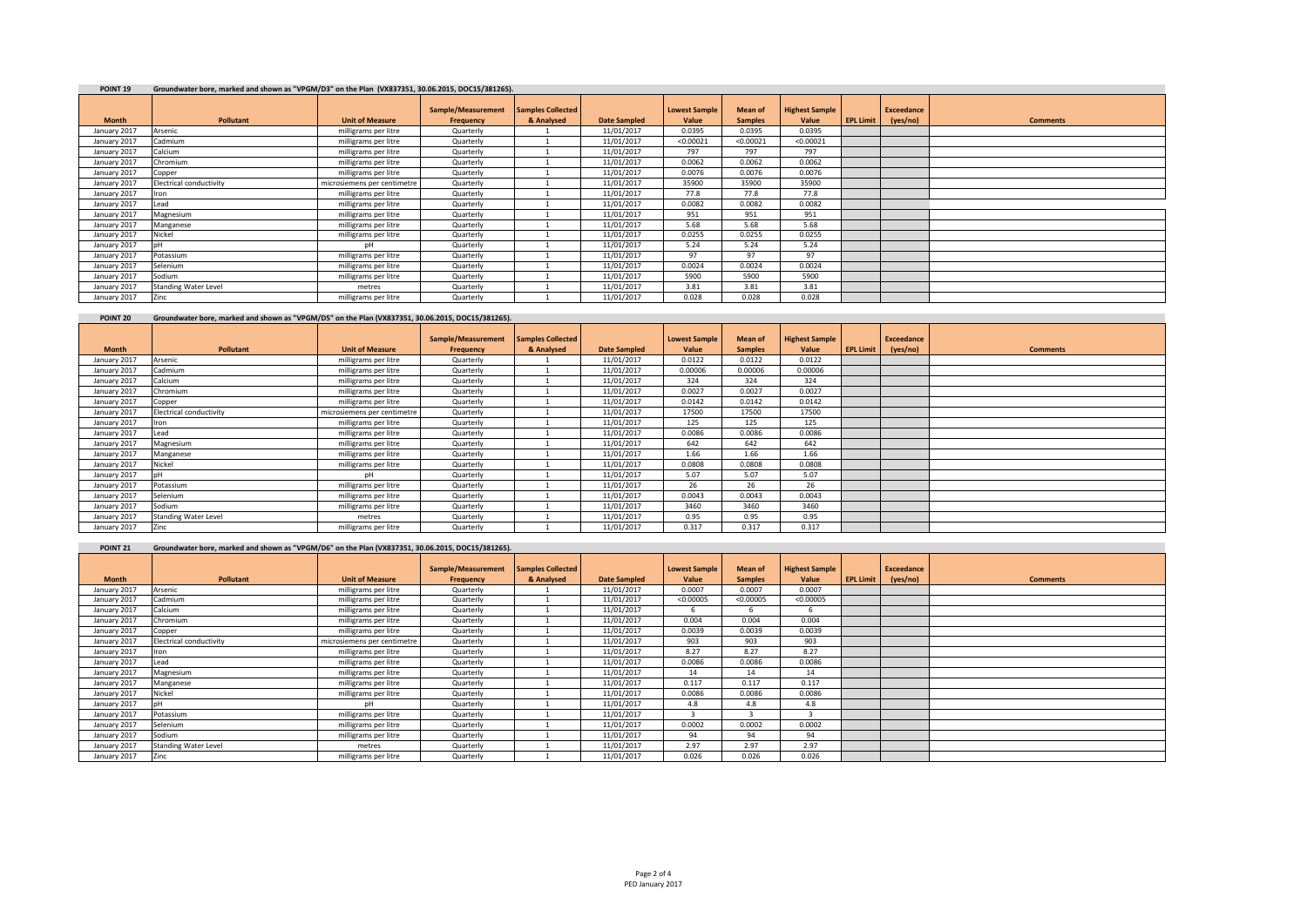| <b>POINT 19</b> | Groundwater bore, marked and shown as "VPGM/D3" on the Plan (VX837351, 30.06.2015, DOC15/381265). |                             |                    |                          |                     |                      |                |                       |                  |                   |                 |
|-----------------|---------------------------------------------------------------------------------------------------|-----------------------------|--------------------|--------------------------|---------------------|----------------------|----------------|-----------------------|------------------|-------------------|-----------------|
|                 |                                                                                                   |                             | Sample/Measurement | <b>Samples Collected</b> |                     | <b>Lowest Sample</b> | Mean of        | <b>Highest Sample</b> |                  | <b>Exceedance</b> |                 |
| <b>Month</b>    | Pollutant                                                                                         | <b>Unit of Measure</b>      | Frequency          | & Analysed               | <b>Date Sampled</b> | Value                | <b>Samples</b> | Value                 | <b>EPL Limit</b> | (yes/no)          | <b>Comments</b> |
| January 2017    | Arsenic                                                                                           | milligrams per litre        | Quarterly          |                          | 11/01/2017          | 0.0395               | 0.0395         | 0.0395                |                  |                   |                 |
| January 2017    | Cadmium                                                                                           | milligrams per litre        | Quarterly          |                          | 11/01/2017          | < 0.00021            | < 0.00021      | < 0.00021             |                  |                   |                 |
| January 2017    | Calcium                                                                                           | milligrams per litre        | Quarterly          |                          | 11/01/2017          | 797                  | 797            | 797                   |                  |                   |                 |
| January 2017    | Chromium                                                                                          | milligrams per litre        | Quarterly          |                          | 11/01/2017          | 0.0062               | 0.0062         | 0.0062                |                  |                   |                 |
| January 2017    | Copper                                                                                            | milligrams per litre        | Quarterly          |                          | 11/01/2017          | 0.0076               | 0.0076         | 0.0076                |                  |                   |                 |
| January 2017    | Electrical conductivity                                                                           | microsiemens per centimetre | Quarterly          |                          | 11/01/2017          | 35900                | 35900          | 35900                 |                  |                   |                 |
| January 2017    | <b>Iron</b>                                                                                       | milligrams per litre        | Quarterly          |                          | 11/01/2017          | 77.8                 | 77.8           | 77.8                  |                  |                   |                 |
| January 2017    | Lead                                                                                              | milligrams per litre        | Quarterly          |                          | 11/01/2017          | 0.0082               | 0.0082         | 0.0082                |                  |                   |                 |
| January 2017    | Magnesium                                                                                         | milligrams per litre        | Quarterly          |                          | 11/01/2017          | 951                  | 951            | 951                   |                  |                   |                 |
| January 2017    | Manganese                                                                                         | milligrams per litre        | Quarterly          |                          | 11/01/2017          | 5.68                 | 5.68           | 5.68                  |                  |                   |                 |
| January 2017    | Nickel                                                                                            | milligrams per litre        | Quarterly          |                          | 11/01/2017          | 0.0255               | 0.0255         | 0.0255                |                  |                   |                 |
| January 2017    |                                                                                                   | pН                          | Quarterly          |                          | 11/01/2017          | 5.24                 | 5.24           | 5.24                  |                  |                   |                 |
| January 2017    | Potassium                                                                                         | milligrams per litre        | Quarterly          |                          | 11/01/2017          | 97                   | 97             | 97                    |                  |                   |                 |
| January 2017    | Selenium                                                                                          | milligrams per litre        | Quarterly          |                          | 11/01/2017          | 0.0024               | 0.0024         | 0.0024                |                  |                   |                 |
| January 2017    | Sodium                                                                                            | milligrams per litre        | Quarterly          |                          | 11/01/2017          | 5900                 | 5900           | 5900                  |                  |                   |                 |
| January 2017    | <b>Standing Water Level</b>                                                                       | metres                      | Quarterly          |                          | 11/01/2017          | 3.81                 | 3.81           | 3.81                  |                  |                   |                 |
| January 2017    | Zinc.                                                                                             | milligrams per litre        | Quarterly          |                          | 11/01/2017          | 0.028                | 0.028          | 0.028                 |                  |                   |                 |

# **POINT 20 Groundwater bore, marked and shown as "VPGM/D5" on the Plan (VX837351, 30.06.2015, DOC15/381265).**

|              |                             |                             | Sample/Measurement | <b>Samples Collected</b> |                     | <b>Lowest Sample</b> | <b>Mean of</b> | <b>Highest Sample</b> |                  | <b>Exceedance</b> |                 |
|--------------|-----------------------------|-----------------------------|--------------------|--------------------------|---------------------|----------------------|----------------|-----------------------|------------------|-------------------|-----------------|
| <b>Month</b> | <b>Pollutant</b>            | <b>Unit of Measure</b>      | Frequency          | & Analysed               | <b>Date Sampled</b> | Value                | <b>Samples</b> | Value                 | <b>EPL Limit</b> | (yes/no)          | <b>Comments</b> |
| January 2017 | Arsenic                     | milligrams per litre        | Quarterly          |                          | 11/01/2017          | 0.0122               | 0.0122         | 0.0122                |                  |                   |                 |
| January 2017 | Cadmium                     | milligrams per litre        | Quarterly          |                          | 11/01/2017          | 0.00006              | 0.00006        | 0.00006               |                  |                   |                 |
| January 2017 | Calcium                     | milligrams per litre        | Quarterly          |                          | 11/01/2017          | 324                  | 324            | 324                   |                  |                   |                 |
| January 2017 | Chromium                    | milligrams per litre        | Quarterly          |                          | 11/01/2017          | 0.0027               | 0.0027         | 0.0027                |                  |                   |                 |
| January 2017 | Copper                      | milligrams per litre        | Quarterly          |                          | 11/01/2017          | 0.0142               | 0.0142         | 0.0142                |                  |                   |                 |
| January 2017 | Electrical conductivity     | microsiemens per centimetre | Quarterly          |                          | 11/01/2017          | 17500                | 17500          | 17500                 |                  |                   |                 |
| January 2017 | Iron                        | milligrams per litre        | Quarterly          |                          | 11/01/2017          | 125                  | 125            | 125                   |                  |                   |                 |
| January 2017 | Lead                        | milligrams per litre        | Quarterly          |                          | 11/01/2017          | 0.0086               | 0.0086         | 0.0086                |                  |                   |                 |
| January 2017 | Magnesium                   | milligrams per litre        | Quarterly          |                          | 11/01/2017          | 642                  | 642            | 642                   |                  |                   |                 |
| January 2017 | Manganese                   | milligrams per litre        | Quarterly          |                          | 11/01/2017          | 1.66                 | 1.66           | 1.66                  |                  |                   |                 |
| January 2017 | Nickel                      | milligrams per litre        | Quarterly          |                          | 11/01/2017          | 0.0808               | 0.0808         | 0.0808                |                  |                   |                 |
| January 2017 |                             | DH                          | Quarterly          |                          | 11/01/2017          | 5.07                 | 5.07           | 5.07                  |                  |                   |                 |
| January 2017 | Potassium                   | milligrams per litre        | Quarterly          |                          | 11/01/2017          | 26                   | 26             | 26                    |                  |                   |                 |
| January 2017 | Selenium                    | milligrams per litre        | Quarterly          |                          | 11/01/2017          | 0.0043               | 0.0043         | 0.0043                |                  |                   |                 |
| January 2017 | Sodium                      | milligrams per litre        | Quarterly          |                          | 11/01/2017          | 3460                 | 3460           | 3460                  |                  |                   |                 |
| January 2017 | <b>Standing Water Level</b> | metres                      | Quarterly          |                          | 11/01/2017          | 0.95                 | 0.95           | 0.95                  |                  |                   |                 |
| January 2017 | Zinc                        | milligrams per litre        | Quarterly          |                          | 11/01/2017          | 0.317                | 0.317          | 0.317                 |                  |                   |                 |

| POINT <sub>21</sub> | Groundwater bore, marked and shown as "VPGM/D6" on the Plan (VX837351, 30.06.2015, DOC15/381265). |                             |                                 |                                        |                     |                               |                                  |                                |                  |                        |                 |
|---------------------|---------------------------------------------------------------------------------------------------|-----------------------------|---------------------------------|----------------------------------------|---------------------|-------------------------------|----------------------------------|--------------------------------|------------------|------------------------|-----------------|
| <b>Month</b>        | Pollutant                                                                                         | <b>Unit of Measure</b>      | Sample/Measurement<br>Frequency | <b>Samples Collected</b><br>& Analysed | <b>Date Sampled</b> | <b>Lowest Sample</b><br>Value | <b>Mean of</b><br><b>Samples</b> | <b>Highest Sample</b><br>Value | <b>EPL Limit</b> | Exceedance<br>(yes/no) | <b>Comments</b> |
| January 2017        | Arsenic                                                                                           | milligrams per litre        | Quarterly                       |                                        | 11/01/2017          | 0.0007                        | 0.0007                           | 0.0007                         |                  |                        |                 |
| January 2017        | Cadmium                                                                                           | milligrams per litre        | Quarterly                       |                                        | 11/01/2017          | < 0.00005                     | < 0.00005                        | < 0.00005                      |                  |                        |                 |
| January 2017        | Calcium                                                                                           | milligrams per litre        | Quarterly                       |                                        | 11/01/2017          | b                             | 6                                | b                              |                  |                        |                 |
| January 2017        | Chromium                                                                                          | milligrams per litre        | Quarterly                       |                                        | 11/01/2017          | 0.004                         | 0.004                            | 0.004                          |                  |                        |                 |
| January 2017        | Copper                                                                                            | milligrams per litre        | Quarterly                       |                                        | 11/01/2017          | 0.0039                        | 0.0039                           | 0.0039                         |                  |                        |                 |
| January 2017        | Electrical conductivity                                                                           | microsiemens per centimetre | Quarterly                       |                                        | 11/01/2017          | 903                           | 903                              | 903                            |                  |                        |                 |
| January 2017        | ron                                                                                               | milligrams per litre        | Quarterly                       |                                        | 11/01/2017          | 8.27                          | 8.27                             | 8.27                           |                  |                        |                 |
| January 2017        | Lead                                                                                              | milligrams per litre        | Quarterly                       |                                        | 11/01/2017          | 0.0086                        | 0.0086                           | 0.0086                         |                  |                        |                 |
| January 2017        | Magnesium                                                                                         | milligrams per litre        | Quarterly                       |                                        | 11/01/2017          | 14                            | 14                               | 14                             |                  |                        |                 |
| January 2017        | Manganese                                                                                         | milligrams per litre        | Quarterly                       |                                        | 11/01/2017          | 0.117                         | 0.117                            | 0.117                          |                  |                        |                 |
| January 2017        | Nickel                                                                                            | milligrams per litre        | Quarterly                       |                                        | 11/01/2017          | 0.0086                        | 0.0086                           | 0.0086                         |                  |                        |                 |
| January 2017        |                                                                                                   | DH                          | Quarterly                       |                                        | 11/01/2017          | 4.8                           | 4.8                              | 4.8                            |                  |                        |                 |
| January 2017        | Potassium                                                                                         | milligrams per litre        | Quarterly                       |                                        | 11/01/2017          |                               |                                  |                                |                  |                        |                 |
| January 2017        | Selenium                                                                                          | milligrams per litre        | Quarterly                       |                                        | 11/01/2017          | 0.0002                        | 0.0002                           | 0.0002                         |                  |                        |                 |
| January 2017        | Sodium                                                                                            | milligrams per litre        | Quarterly                       |                                        | 11/01/2017          | 94                            | 94                               | 94                             |                  |                        |                 |
| January 2017        | <b>Standing Water Level</b>                                                                       | metres                      | Quarterly                       |                                        | 11/01/2017          | 2.97                          | 2.97                             | 2.97                           |                  |                        |                 |
| January 2017        | Zinc                                                                                              | milligrams per litre        | Quarterly                       |                                        | 11/01/2017          | 0.026                         | 0.026                            | 0.026                          |                  |                        |                 |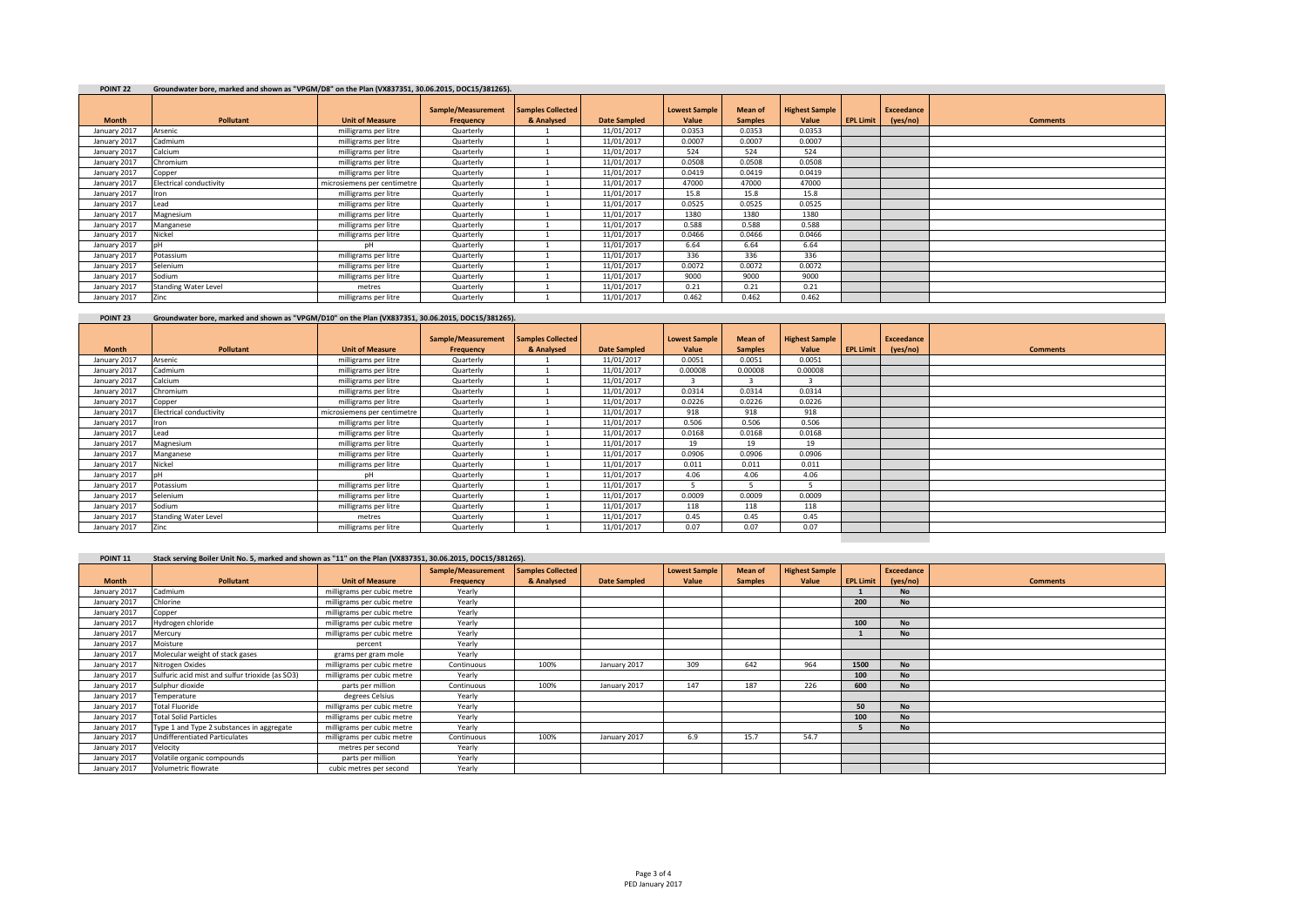| POINT <sub>22</sub> | Groundwater bore, marked and shown as "VPGM/D8" on the Plan (VX837351, 30.06.2015, DOC15/381265). |                             |                    |                          |                     |                      |                |                       |                  |                   |                 |
|---------------------|---------------------------------------------------------------------------------------------------|-----------------------------|--------------------|--------------------------|---------------------|----------------------|----------------|-----------------------|------------------|-------------------|-----------------|
|                     |                                                                                                   |                             | Sample/Measurement | <b>Samples Collected</b> |                     | <b>Lowest Sample</b> | Mean of        | <b>Highest Sample</b> |                  | <b>Exceedance</b> |                 |
| <b>Month</b>        | Pollutant                                                                                         | <b>Unit of Measure</b>      | Frequency          | & Analysed               | <b>Date Sampled</b> | Value                | <b>Samples</b> | Value                 | <b>EPL Limit</b> | (yes/no)          | <b>Comments</b> |
| January 2017        | Arsenic                                                                                           | milligrams per litre        | Quarterly          |                          | 11/01/2017          | 0.0353               | 0.0353         | 0.0353                |                  |                   |                 |
| January 2017        | Cadmium                                                                                           | milligrams per litre        | Quarterly          |                          | 11/01/2017          | 0.0007               | 0.0007         | 0.0007                |                  |                   |                 |
| January 2017        | Calcium                                                                                           | milligrams per litre        | Quarterly          |                          | 11/01/2017          | 524                  | 524            | 524                   |                  |                   |                 |
| January 2017        | Chromium                                                                                          | milligrams per litre        | Quarterly          |                          | 11/01/2017          | 0.0508               | 0.0508         | 0.0508                |                  |                   |                 |
| January 2017        | Copper                                                                                            | milligrams per litre        | Quarterly          |                          | 11/01/2017          | 0.0419               | 0.0419         | 0.0419                |                  |                   |                 |
| January 2017        | Electrical conductivity                                                                           | microsiemens per centimetre | Quarterly          |                          | 11/01/2017          | 47000                | 47000          | 47000                 |                  |                   |                 |
| January 2017        | <b>Iron</b>                                                                                       | milligrams per litre        | Quarterly          |                          | 11/01/2017          | 15.8                 | 15.8           | 15.8                  |                  |                   |                 |
| January 2017        | Lead                                                                                              | milligrams per litre        | Quarterly          |                          | 11/01/2017          | 0.0525               | 0.0525         | 0.0525                |                  |                   |                 |
| January 2017        | Magnesium                                                                                         | milligrams per litre        | Quarterly          |                          | 11/01/2017          | 1380                 | 1380           | 1380                  |                  |                   |                 |
| January 2017        | Manganese                                                                                         | milligrams per litre        | Quarterly          |                          | 11/01/2017          | 0.588                | 0.588          | 0.588                 |                  |                   |                 |
| January 2017        | Nickel                                                                                            | milligrams per litre        | Quarterly          |                          | 11/01/2017          | 0.0466               | 0.0466         | 0.0466                |                  |                   |                 |
| January 2017        |                                                                                                   | pН                          | Quarterly          |                          | 11/01/2017          | 6.64                 | 6.64           | 6.64                  |                  |                   |                 |
| January 2017        | Potassium                                                                                         | milligrams per litre        | Quarterly          |                          | 11/01/2017          | 336                  | 336            | 336                   |                  |                   |                 |
| January 2017        | Selenium                                                                                          | milligrams per litre        | Quarterly          |                          | 11/01/2017          | 0.0072               | 0.0072         | 0.0072                |                  |                   |                 |
| January 2017        | Sodium                                                                                            | milligrams per litre        | Quarterly          |                          | 11/01/2017          | 9000                 | 9000           | 9000                  |                  |                   |                 |
| January 2017        | <b>Standing Water Level</b>                                                                       | metres                      | Quarterly          |                          | 11/01/2017          | 0.21                 | 0.21           | 0.21                  |                  |                   |                 |
| January 2017        | Zinc.                                                                                             | milligrams per litre        | Quarterly          |                          | 11/01/2017          | 0.462                | 0.462          | 0.462                 |                  |                   |                 |

# **POINT 23 Groundwater bore, marked and shown as "VPGM/D10" on the Plan (VX837351, 30.06.2015, DOC15/381265).**

|              |                                |                             | Sample/Measurement | <b>Samples Collected</b> |                     | <b>Lowest Sample</b> | Mean of        | <b>Highest Sample</b> |                  | <b>Exceedance</b> |                 |
|--------------|--------------------------------|-----------------------------|--------------------|--------------------------|---------------------|----------------------|----------------|-----------------------|------------------|-------------------|-----------------|
| <b>Month</b> | Pollutant                      | <b>Unit of Measure</b>      | Frequency          | & Analysed               | <b>Date Sampled</b> | Value                | <b>Samples</b> | Value                 | <b>EPL Limit</b> | (yes/no)          | <b>Comments</b> |
| January 2017 | Arsenic                        | milligrams per litre        | Quarterly          |                          | 11/01/2017          | 0.0051               | 0.0051         | 0.0051                |                  |                   |                 |
| January 2017 | Cadmium                        | milligrams per litre        | Quarterly          |                          | 11/01/2017          | 0.00008              | 0.00008        | 0.00008               |                  |                   |                 |
| January 2017 | Calcium                        | milligrams per litre        | Quarterly          |                          | 11/01/2017          |                      |                |                       |                  |                   |                 |
| January 2017 | Chromium                       | milligrams per litre        | Quarterly          |                          | 11/01/2017          | 0.0314               | 0.0314         | 0.0314                |                  |                   |                 |
| January 2017 | Copper                         | milligrams per litre        | Quarterly          |                          | 11/01/2017          | 0.0226               | 0.0226         | 0.0226                |                  |                   |                 |
| January 2017 | <b>Electrical conductivity</b> | microsiemens per centimetre | Quarterly          |                          | 11/01/2017          | 918                  | 918            | 918                   |                  |                   |                 |
| January 2017 | Iron                           | milligrams per litre        | Quarterly          |                          | 11/01/2017          | 0.506                | 0.506          | 0.506                 |                  |                   |                 |
| January 2017 | Lead                           | milligrams per litre        | Quarterly          |                          | 11/01/2017          | 0.0168               | 0.0168         | 0.0168                |                  |                   |                 |
| January 2017 | Magnesium                      | milligrams per litre        | Quarterly          |                          | 11/01/2017          | 19                   | 19             | 19                    |                  |                   |                 |
| January 2017 | Manganese                      | milligrams per litre        | Quarterly          |                          | 11/01/2017          | 0.0906               | 0.0906         | 0.0906                |                  |                   |                 |
| January 2017 | Nickel                         | milligrams per litre        | Quarterly          |                          | 11/01/2017          | 0.011                | 0.011          | 0.011                 |                  |                   |                 |
| January 2017 | nH                             | pН                          | Quarterly          |                          | 11/01/2017          | 4.06                 | 4.06           | 4.06                  |                  |                   |                 |
| January 2017 | Potassium                      | milligrams per litre        | Quarterly          |                          | 11/01/2017          |                      |                |                       |                  |                   |                 |
| January 2017 | Selenium                       | milligrams per litre        | Quarterly          |                          | 11/01/2017          | 0.0009               | 0.0009         | 0.0009                |                  |                   |                 |
| January 2017 | Sodium                         | milligrams per litre        | Quarterly          |                          | 11/01/2017          | 118                  | 118            | 118                   |                  |                   |                 |
| January 2017 | <b>Standing Water Level</b>    | metres                      | Quarterly          |                          | 11/01/2017          | 0.45                 | 0.45           | 0.45                  |                  |                   |                 |
| January 2017 | <b>Zinc</b>                    | milligrams per litre        | Quarterly          |                          | 11/01/2017          | 0.07                 | 0.07           | 0.07                  |                  |                   |                 |
|              |                                |                             |                    |                          |                     |                      |                |                       |                  |                   |                 |

| POINT <sub>11</sub> | Stack serving Boiler Unit No. 5, marked and shown as "11" on the Plan (VX837351, 30.06.2015, DOC15/381265). |                            |                    |                          |                     |                      |                |                       |                  |                   |                 |
|---------------------|-------------------------------------------------------------------------------------------------------------|----------------------------|--------------------|--------------------------|---------------------|----------------------|----------------|-----------------------|------------------|-------------------|-----------------|
|                     |                                                                                                             |                            | Sample/Measurement | <b>Samples Collected</b> |                     | <b>Lowest Sample</b> | <b>Mean of</b> | <b>Highest Sample</b> |                  | <b>Exceedance</b> |                 |
| <b>Month</b>        | Pollutant                                                                                                   | <b>Unit of Measure</b>     | Frequency          | & Analysed               | <b>Date Sampled</b> | Value                | <b>Samples</b> | Value                 | <b>EPL Limit</b> | (yes/no)          | <b>Comments</b> |
| January 2017        | Cadmium                                                                                                     | milligrams per cubic metre | Yearly             |                          |                     |                      |                |                       |                  | <b>No</b>         |                 |
| January 2017        | Chlorine                                                                                                    | milligrams per cubic metre | Yearly             |                          |                     |                      |                |                       | 200              | <b>No</b>         |                 |
| January 2017        | Copper                                                                                                      | milligrams per cubic metre | Yearly             |                          |                     |                      |                |                       |                  |                   |                 |
| January 2017        | Hydrogen chloride                                                                                           | milligrams per cubic metre | Yearly             |                          |                     |                      |                |                       | 100              | <b>No</b>         |                 |
| January 2017        | Mercury                                                                                                     | milligrams per cubic metre | Yearly             |                          |                     |                      |                |                       |                  | <b>No</b>         |                 |
| January 2017        | Moisture                                                                                                    | percent                    | Yearly             |                          |                     |                      |                |                       |                  |                   |                 |
| January 2017        | Molecular weight of stack gases                                                                             | grams per gram mole        | Yearly             |                          |                     |                      |                |                       |                  |                   |                 |
| January 2017        | Nitrogen Oxides                                                                                             | milligrams per cubic metre | Continuous         | 100%                     | January 2017        | 309                  | 642            | 964                   | 1500             | <b>No</b>         |                 |
| January 2017        | Sulfuric acid mist and sulfur trioxide (as SO3)                                                             | milligrams per cubic metre | Yearly             |                          |                     |                      |                |                       | 100              | <b>No</b>         |                 |
| January 2017        | Sulphur dioxide                                                                                             | parts per million          | Continuous         | 100%                     | January 2017        | 147                  | 187            | 226                   | 600              | <b>No</b>         |                 |
| January 2017        | Temperature                                                                                                 | degrees Celsius            | Yearly             |                          |                     |                      |                |                       |                  |                   |                 |
| January 2017        | Total Fluoride                                                                                              | milligrams per cubic metre | Yearly             |                          |                     |                      |                |                       | 50               | <b>No</b>         |                 |
| January 2017        | <b>Total Solid Particles</b>                                                                                | milligrams per cubic metre | Yearly             |                          |                     |                      |                |                       | 100              | <b>No</b>         |                 |
| January 2017        | Type 1 and Type 2 substances in aggregate                                                                   | milligrams per cubic metre | Yearly             |                          |                     |                      |                |                       |                  | <b>No</b>         |                 |
| January 2017        | <b>Undifferentiated Particulates</b>                                                                        | milligrams per cubic metre | Continuous         | 100%                     | January 2017        | 6.9                  | 15.7           | 54.7                  |                  |                   |                 |
| January 2017        | Velocity                                                                                                    | metres per second          | Yearly             |                          |                     |                      |                |                       |                  |                   |                 |
| January 2017        | Volatile organic compounds                                                                                  | parts per million          | Yearly             |                          |                     |                      |                |                       |                  |                   |                 |
| January 2017        | Volumetric flowrate                                                                                         | cubic metres per second    | Yearly             |                          |                     |                      |                |                       |                  |                   |                 |